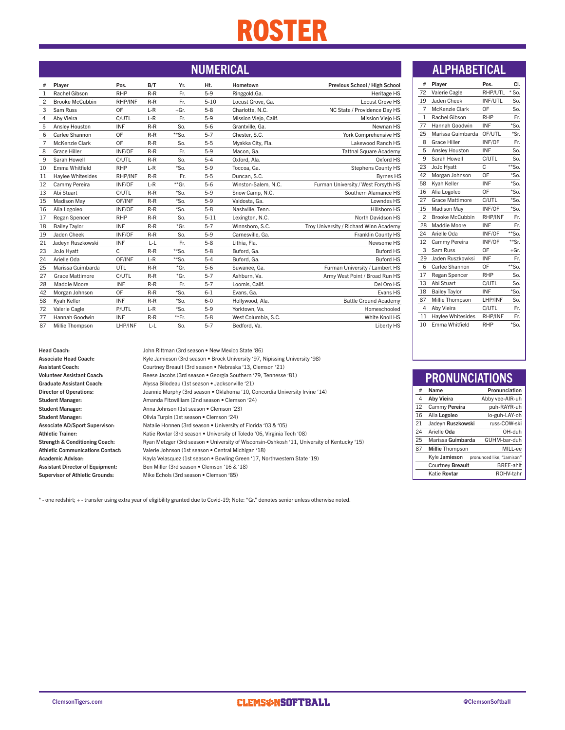# ROSTER

| #              | Player                 | Pos.       | B/T   | Yr.      | Ht.      | Hometown              | Previous School / High School          |
|----------------|------------------------|------------|-------|----------|----------|-----------------------|----------------------------------------|
| 1              | Rachel Gibson          | <b>RHP</b> | $R-R$ | Fr.      | $5-9$    | Ringgold, Ga.         | Heritage HS                            |
| $\overline{c}$ | <b>Brooke McCubbin</b> | RHP/INF    | $R-R$ | Fr.      | $5 - 10$ | Locust Grove, Ga.     | Locust Grove HS                        |
| 3              | Sam Russ               | OF         | $L-R$ | $+Gr.$   | $5 - 8$  | Charlotte, N.C.       | NC State / Providence Dav HS           |
| 4              | Aby Vieira             | C/UTL      | $L-R$ | Fr.      | $5-9$    | Mission Viejo, Cailf. | <b>Mission Viejo HS</b>                |
| 5              | Ansley Houston         | INF        | $R-R$ | So.      | $5 - 6$  | Grantville, Ga.       | Newnan HS                              |
| 6              | Carlee Shannon         | OF         | $R-R$ | $**$ So. | $5 - 7$  | Chester, S.C.         | York Comprehensive HS                  |
| 7              | McKenzie Clark         | OF         | $R-R$ | So.      | $5 - 5$  | Myakka City, Fla.     | Lakewood Ranch HS                      |
| 8              | <b>Grace Hiller</b>    | INF/OF     | $R-R$ | Fr.      | $5-9$    | Macon, Ga.            | <b>Tattnal Square Academy</b>          |
| 9              | Sarah Howell           | C/UTL      | $R-R$ | So.      | $5 - 4$  | Oxford, Ala.          | Oxford HS                              |
| 10             | Emma Whitfield         | <b>RHP</b> | $L-R$ | $*$ So.  | $5-9$    | Toccoa, Ga.           | <b>Stephens County HS</b>              |
| 11             | Haylee Whitesides      | RHP/INF    | $R-R$ | Fr.      | $5 - 5$  | Duncan, S.C.          | <b>Byrnes HS</b>                       |
| 12             | Cammy Pereira          | INF/OF     | $L-R$ | **Gr.    | $5 - 6$  | Winston-Salem, N.C.   | Furman University / West Forsyth HS    |
| 13             | Abi Stuart             | C/UTL      | $R-R$ | $*$ So.  | $5-9$    | Snow Camp, N.C.       | Southern Alamance HS                   |
| 15             | <b>Madison May</b>     | OF/INF     | $R-R$ | $*$ So.  | $5-9$    | Valdosta, Ga.         | Lowndes HS                             |
| 16             | Alia Logoleo           | INF/OF     | $R-R$ | $*$ So.  | $5 - 8$  | Nashville, Tenn.      | Hillsboro HS                           |
| 17             | Regan Spencer          | <b>RHP</b> | $R-R$ | So.      | $5 - 11$ | Lexington, N.C.       | North Davidson HS                      |
| 18             | <b>Bailey Taylor</b>   | <b>INF</b> | $R-R$ | *Gr.     | $5 - 7$  | Winnsboro, S.C.       | Troy University / Richard Winn Academy |
| 19             | Jaden Cheek            | INF/OF     | $R-R$ | So.      | $5-9$    | Carnesville, Ga.      | <b>Franklin County HS</b>              |
| 21             | Jadevn Ruszkowski      | <b>INF</b> | $L-L$ | Fr.      | $5 - 8$  | Lithia. Fla.          | Newsome HS                             |
| 23             | JoJo Hyatt             | C          | $R-R$ | $**$ So. | $5 - 8$  | Buford, Ga.           | <b>Buford HS</b>                       |
| 24             | Arielle Oda            | OF/INF     | $L-R$ | $**$ So. | $5 - 4$  | Buford, Ga.           | <b>Buford HS</b>                       |
| 25             | Marissa Guimbarda      | UTL        | $R-R$ | *Gr.     | $5 - 6$  | Suwanee, Ga.          | Furman University / Lambert HS         |
| 27             | Grace Mattimore        | C/UTL      | $R-R$ | *Gr.     | $5 - 7$  | Ashburn, Va.          | Army West Point / Broad Run HS         |
| 28             | Maddie Moore           | <b>INF</b> | $R-R$ | Fr.      | $5 - 7$  | Loomis, Calif.        | Del Oro HS                             |
| 42             | Morgan Johnson         | OF         | $R-R$ | $*$ So.  | $6 - 1$  | Evans, Ga.            | Evans HS                               |
| 58             | Kyah Keller            | <b>INF</b> | $R-R$ | $*$ So.  | $6 - 0$  | Hollywood, Ala.       | <b>Battle Ground Academy</b>           |
| 72             | Valerie Cagle          | P/UTL      | $L-R$ | $*$ So.  | $5-9$    | Yorktown, Va.         | Homeschooled                           |
| 77             | Hannah Goodwin         | <b>INF</b> | $R-R$ | **Fr.    | $5 - 8$  | West Columbia, S.C.   | White Knoll HS                         |
| 87             | Millie Thompson        | LHP/INF    | L-L   | So.      | $5 - 7$  | Bedford, Va.          | Liberty HS                             |
|                |                        |            |       |          |          |                       |                                        |

# NUMERICAL **ALPHABETICAL**

| #              | Player                 | Pos.       | CI.      |
|----------------|------------------------|------------|----------|
| 72             | Valerie Cagle          | RHP/UTL    | $*$ So.  |
| 19             | Jaden Cheek            | INF/UTL    | So.      |
| $\overline{7}$ | McKenzie Clark         | 0F         | So.      |
| $\mathbf{1}$   | Rachel Gibson          | <b>RHP</b> | Fr.      |
| 77             | Hannah Goodwin         | <b>INF</b> | $*$ So.  |
| 25             | Marissa Guimbarda      | OF/UTL     | *Sr.     |
| 8              | <b>Grace Hiller</b>    | INF/OF     | Fr.      |
| 5              | Ansley Houston         | INF        | So.      |
| 9              | Sarah Howell           | C/UTL      | So.      |
| 23             | JoJo Hyatt             | C          | $*$ So.  |
| 42             | Morgan Johnson         | OF         | $*$ So.  |
| 58             | Kyah Keller            | <b>INF</b> | $*$ So.  |
| 16             | Alia Logoleo           | OF         | $*$ So.  |
| 27             | <b>Grace Mattimore</b> | C/UTL      | $*$ So.  |
| 15             | <b>Madison May</b>     | INF/OF     | $*$ So.  |
| $\overline{2}$ | <b>Brooke McCubbin</b> | RHP/INF    | Fr.      |
| 28             | Maddie Moore           | <b>INF</b> | Fr.      |
| 24             | Arielle Oda            | INF/OF     | $**$ So. |
| 12             | Cammy Pereira          | INF/OF     | **Sr.    |
| 3              | Sam Russ               | OF         | +Gr.     |
| 29             | Jaden Ruszkowksi       | <b>INF</b> | Fr.      |
| 6              | Carlee Shannon         | OF         | $**$ So. |
| 17             | Regan Spencer          | <b>RHP</b> | So.      |
| 13             | Abi Stuart             | C/UTL      | So.      |
| 18             | <b>Bailey Taylor</b>   | <b>INF</b> | $*$ So.  |
| 87             | Millie Thompson        | LHP/INF    | So.      |
| 4              | Aby Vieira             | C/UTL      | Fr.      |
| 11             | Haylee Whitesides      | RHP/INF    | Fr.      |
| 10             | Emma Whitfield         | <b>RHP</b> | $*$ So.  |

Head Coach: John Rittman (3rd season • New Mexico State '86)

Associate Head Coach: Kyle Jamieson (3rd season • Brock University '97, Nipissing University '98) Assistant Coach: Courtney Breault (3rd season • Nebraska '13, Clemson '21) Volunteer Assistant Coach: Reese Jacobs (3rd season • Georgia Southern '79, Tennesse '81) Graduate Assistant Coach: Alyssa Bilodeau (1st season · Jacksonville '21) Director of Operations: Jeannie Murphy (3rd season • Oklahoma '10, Concordia University Irvine '14) Student Manager: Amanda Fitzwilliam (2nd season • Clemson '24) Student Manager: Anna Johnson (1st season . Clemson '23) Student Manager: Olivia Turpin (1st season • Clemson '24) Associate AD/Sport Supervisor: Natalie Honnen (3rd season • University of Florida '03 & '05) Athletic Trainer: Katie Rovtar (3rd season • University of Toledo '06, Virginia Tech '08) Strength & Conditioning Coach: Ryan Metzger (3rd season • University of Wisconsin-Oshkosh '11, University of Kentucky '15) Athletic Communications Contact: Valerie Johnson (1st season • Central Michigan '18) Academic Advisor: Kayla Velasquez (1st season • Bowling Green '17, Northwestern State '19) Assistant Director of Equipment: Ben Miller (3rd season • Clemson '16 & '18) Supervisor of Athletic Grounds: Mike Echols (3rd season • Clemson '85)

\* - one redshirt; + - transfer using extra year of eligibility granted due to Covid-19; Note: "Gr." denotes senior unless otherwise noted.

# PRONUNCIATIONS

| #  | Name                    | Pronunciation             |
|----|-------------------------|---------------------------|
| 4  | Aby Vieira              | Abby vee-AIR-uh           |
| 12 | Cammy Pereira           | puh-RAYR-uh               |
| 16 | Alia Logoleo            | lo-guh-LAY-oh             |
| 21 | Jadeyn Ruszkowski       | russ-COW-ski              |
| 24 | Arielle Oda             | OH-duh                    |
| 25 | Marissa Guimbarda       | GUHM-bar-duh              |
| 87 | <b>Millie Thompson</b>  | MILL-ee                   |
|    | Kyle Jamieson           | pronunced like, "Jamison" |
|    | <b>Courtney Breault</b> | <b>BREE-ahlt</b>          |
|    | Katie Rovtar            | ROHV-tahr                 |